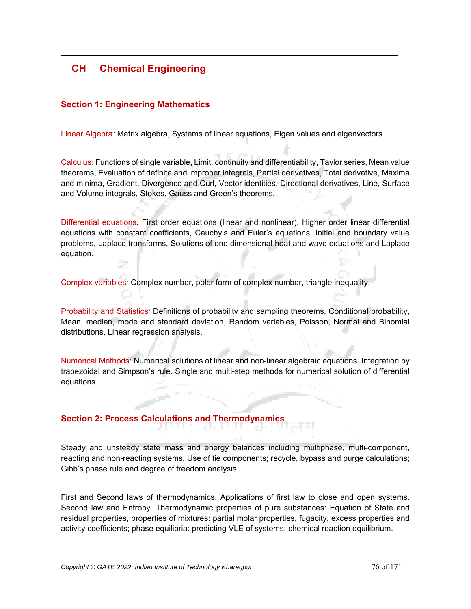# **CH Chemical Engineering**

## **Section 1: Engineering Mathematics**

Linear Algebra*:* Matrix algebra, Systems of linear equations, Eigen values and eigenvectors.

Calculus*:* Functions of single variable, Limit, continuity and differentiability, Taylor series, Mean value theorems, Evaluation of definite and improper integrals, Partial derivatives, Total derivative, Maxima and minima, Gradient, Divergence and Curl, Vector identities, Directional derivatives, Line, Surface and Volume integrals, Stokes, Gauss and Green's theorems.

Differential equations*:* First order equations (linear and nonlinear), Higher order linear differential equations with constant coefficients, Cauchy's and Euler's equations, Initial and boundary value problems, Laplace transforms, Solutions of one dimensional heat and wave equations and Laplace equation.

Complex variables*:* Complex number, polar form of complex number, triangle inequality.

Probability and Statistics*:* Definitions of probability and sampling theorems, Conditional probability, Mean, median, mode and standard deviation, Random variables, Poisson, Normal and Binomial distributions, Linear regression analysis.

Numerical Methods*:* Numerical solutions of linear and non-linear algebraic equations. Integration by trapezoidal and Simpson's rule. Single and multi-step methods for numerical solution of differential equations.

## **Section 2: Process Calculations and Thermodynamics**

Steady and unsteady state mass and energy balances including multiphase, multi-component, reacting and non-reacting systems. Use of tie components; recycle, bypass and purge calculations; Gibb's phase rule and degree of freedom analysis.

First and Second laws of thermodynamics. Applications of first law to close and open systems. Second law and Entropy. Thermodynamic properties of pure substances: Equation of State and residual properties, properties of mixtures: partial molar properties, fugacity, excess properties and activity coefficients; phase equilibria: predicting VLE of systems; chemical reaction equilibrium.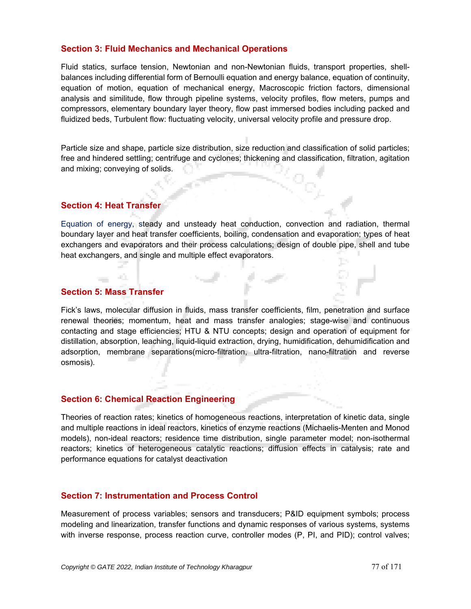#### **Section 3: Fluid Mechanics and Mechanical Operations**

Fluid statics, surface tension, Newtonian and non-Newtonian fluids, transport properties, shellbalances including differential form of Bernoulli equation and energy balance, equation of continuity, equation of motion, equation of mechanical energy, Macroscopic friction factors, dimensional analysis and similitude, flow through pipeline systems, velocity profiles, flow meters, pumps and compressors, elementary boundary layer theory, flow past immersed bodies including packed and fluidized beds, Turbulent flow: fluctuating velocity, universal velocity profile and pressure drop.

Particle size and shape, particle size distribution, size reduction and classification of solid particles; free and hindered settling; centrifuge and cyclones; thickening and classification, filtration, agitation and mixing; conveying of solids.

## **Section 4: Heat Transfer**

Equation of energy, steady and unsteady heat conduction, convection and radiation, thermal boundary layer and heat transfer coefficients, boiling, condensation and evaporation; types of heat exchangers and evaporators and their process calculations; design of double pipe, shell and tube heat exchangers, and single and multiple effect evaporators.

## **Section 5: Mass Transfer**

 $\frac{1}{2}$ 

40.

Fick's laws, molecular diffusion in fluids, mass transfer coefficients, film, penetration and surface renewal theories; momentum, heat and mass transfer analogies; stage-wise and continuous contacting and stage efficiencies; HTU & NTU concepts; design and operation of equipment for distillation, absorption, leaching, liquid-liquid extraction, drying, humidification, dehumidification and adsorption, membrane separations(micro-filtration, ultra-filtration, nano-filtration and reverse osmosis).

## **Section 6: Chemical Reaction Engineering**

Theories of reaction rates; kinetics of homogeneous reactions, interpretation of kinetic data, single and multiple reactions in ideal reactors, kinetics of enzyme reactions (Michaelis-Menten and Monod models), non-ideal reactors; residence time distribution, single parameter model; non-isothermal reactors; kinetics of heterogeneous catalytic reactions; diffusion effects in catalysis; rate and performance equations for catalyst deactivation

#### **Section 7: Instrumentation and Process Control**

Measurement of process variables; sensors and transducers; P&ID equipment symbols; process modeling and linearization, transfer functions and dynamic responses of various systems, systems with inverse response, process reaction curve, controller modes (P, PI, and PID); control valves;